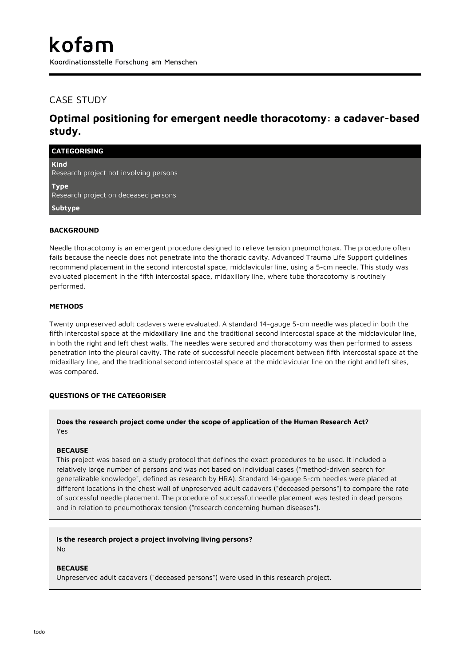Koordinationsstelle Forschung am Menschen

## CASE STUDY

# **Optimal positioning for emergent needle thoracotomy: a cadaver-based study.**

| <b>CATEGORISING</b>                                   |  |
|-------------------------------------------------------|--|
| <b>Kind</b><br>Research project not involving persons |  |
| <b>Type</b><br>Research project on deceased persons   |  |
| Subtype                                               |  |
| <b>BACKGROUND</b>                                     |  |

Needle thoracotomy is an emergent procedure designed to relieve tension pneumothorax. The procedure often fails because the needle does not penetrate into the thoracic cavity. Advanced Trauma Life Support guidelines recommend placement in the second intercostal space, midclavicular line, using a 5-cm needle. This study was evaluated placement in the fifth intercostal space, midaxillary line, where tube thoracotomy is routinely performed.

## **METHODS**

Twenty unpreserved adult cadavers were evaluated. A standard 14-gauge 5-cm needle was placed in both the fifth intercostal space at the midaxillary line and the traditional second intercostal space at the midclavicular line, in both the right and left chest walls. The needles were secured and thoracotomy was then performed to assess penetration into the pleural cavity. The rate of successful needle placement between fifth intercostal space at the midaxillary line, and the traditional second intercostal space at the midclavicular line on the right and left sites, was compared.

### **QUESTIONS OF THE CATEGORISER**

## **Does the research project come under the scope of application of the Human Research Act?** Yes

### **BECAUSE**

This project was based on a study protocol that defines the exact procedures to be used. It included a relatively large number of persons and was not based on individual cases ("method-driven search for generalizable knowledge", defined as research by HRA). Standard 14-gauge 5-cm needles were placed at different locations in the chest wall of unpreserved adult cadavers ("deceased persons") to compare the rate of successful needle placement. The procedure of successful needle placement was tested in dead persons and in relation to pneumothorax tension ("research concerning human diseases").

### **Is the research project a project involving living persons?**

No

### **BECAUSE**

Unpreserved adult cadavers ("deceased persons") were used in this research project.